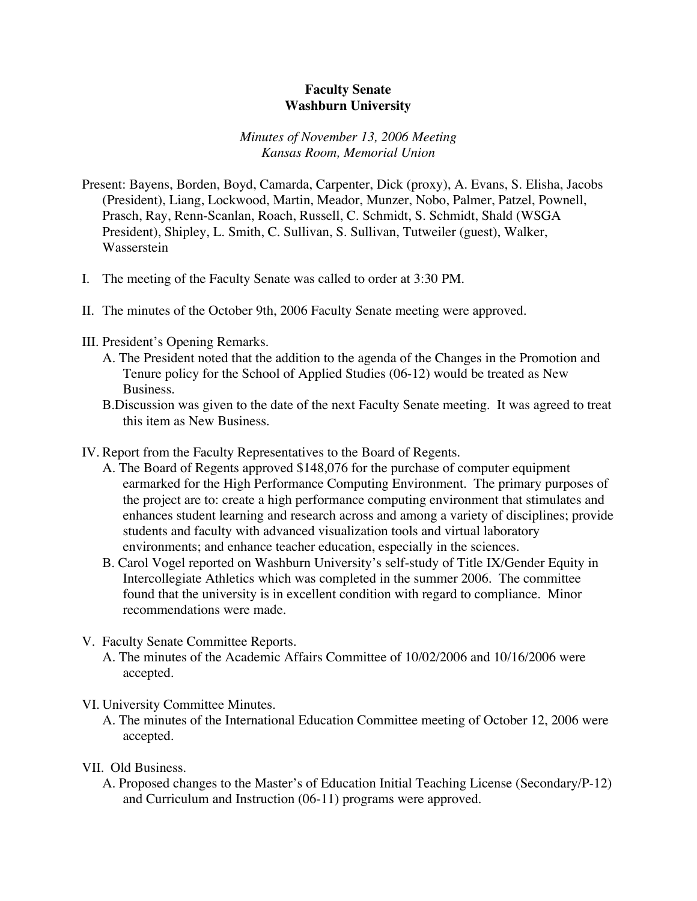## **Faculty Senate Washburn University**

## *Minutes of November 13, 2006 Meeting Kansas Room, Memorial Union*

- Present: Bayens, Borden, Boyd, Camarda, Carpenter, Dick (proxy), A. Evans, S. Elisha, Jacobs (President), Liang, Lockwood, Martin, Meador, Munzer, Nobo, Palmer, Patzel, Pownell, Prasch, Ray, Renn-Scanlan, Roach, Russell, C. Schmidt, S. Schmidt, Shald (WSGA President), Shipley, L. Smith, C. Sullivan, S. Sullivan, Tutweiler (guest), Walker, Wasserstein
- I. The meeting of the Faculty Senate was called to order at 3:30 PM.
- II. The minutes of the October 9th, 2006 Faculty Senate meeting were approved.
- III. President's Opening Remarks.
	- A. The President noted that the addition to the agenda of the Changes in the Promotion and Tenure policy for the School of Applied Studies (06-12) would be treated as New Business.
	- B.Discussion was given to the date of the next Faculty Senate meeting. It was agreed to treat this item as New Business.
- IV. Report from the Faculty Representatives to the Board of Regents.
	- A. The Board of Regents approved \$148,076 for the purchase of computer equipment earmarked for the High Performance Computing Environment. The primary purposes of the project are to: create a high performance computing environment that stimulates and enhances student learning and research across and among a variety of disciplines; provide students and faculty with advanced visualization tools and virtual laboratory environments; and enhance teacher education, especially in the sciences.
	- B. Carol Vogel reported on Washburn University's self-study of Title IX/Gender Equity in Intercollegiate Athletics which was completed in the summer 2006. The committee found that the university is in excellent condition with regard to compliance. Minor recommendations were made.
- V. Faculty Senate Committee Reports.
	- A. The minutes of the Academic Affairs Committee of 10/02/2006 and 10/16/2006 were accepted.
- VI. University Committee Minutes.
	- A. The minutes of the International Education Committee meeting of October 12, 2006 were accepted.

## VII. Old Business.

A. Proposed changes to the Master's of Education Initial Teaching License (Secondary/P-12) and Curriculum and Instruction (06-11) programs were approved.